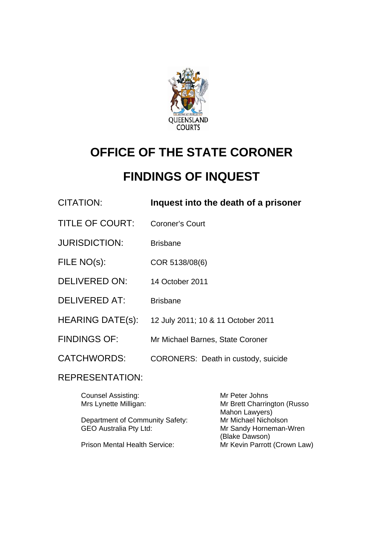

# **OFFICE OF THE STATE CORONER**

## **FINDINGS OF INQUEST**

| CITATION:               | Inquest into the death of a prisoner |
|-------------------------|--------------------------------------|
| <b>TITLE OF COURT:</b>  | <b>Coroner's Court</b>               |
| <b>JURISDICTION:</b>    | <b>Brisbane</b>                      |
| FILE NO(s):             | COR 5138/08(6)                       |
| <b>DELIVERED ON:</b>    | 14 October 2011                      |
| <b>DELIVERED AT:</b>    | <b>Brisbane</b>                      |
| <b>HEARING DATE(s):</b> | 12 July 2011; 10 & 11 October 2011   |
| <b>FINDINGS OF:</b>     | Mr Michael Barnes, State Coroner     |
| <b>CATCHWORDS:</b>      | CORONERS: Death in custody, suicide  |
|                         |                                      |

## REPRESENTATION:

| Mr Peter Johns               |
|------------------------------|
| Mr Brett Charrington (Russo  |
| Mahon Lawyers)               |
| Mr Michael Nicholson         |
| Mr Sandy Horneman-Wren       |
| (Blake Dawson)               |
| Mr Kevin Parrott (Crown Law) |
|                              |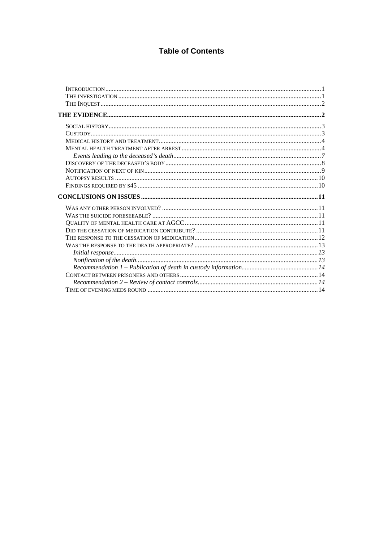## **Table of Contents**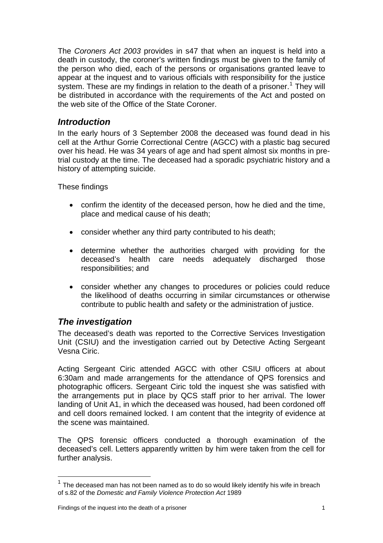<span id="page-2-0"></span>The *Coroners Act 2003* provides in s47 that when an inquest is held into a death in custody, the coroner's written findings must be given to the family of the person who died, each of the persons or organisations granted leave to appear at the inquest and to various officials with responsibility for the justice system. These are my findings in relation to the death of a prisoner.<sup>[1](#page-2-1)</sup> They will be distributed in accordance with the requirements of the Act and posted on the web site of the Office of the State Coroner.

## *Introduction*

In the early hours of 3 September 2008 the deceased was found dead in his cell at the Arthur Gorrie Correctional Centre (AGCC) with a plastic bag secured over his head. He was 34 years of age and had spent almost six months in pretrial custody at the time. The deceased had a sporadic psychiatric history and a history of attempting suicide.

These findings

- confirm the identity of the deceased person, how he died and the time, place and medical cause of his death;
- consider whether any third party contributed to his death;
- determine whether the authorities charged with providing for the deceased's health care needs adequately discharged those responsibilities; and
- consider whether any changes to procedures or policies could reduce the likelihood of deaths occurring in similar circumstances or otherwise contribute to public health and safety or the administration of justice.

## *The investigation*

l

The deceased's death was reported to the Corrective Services Investigation Unit (CSIU) and the investigation carried out by Detective Acting Sergeant Vesna Ciric.

Acting Sergeant Ciric attended AGCC with other CSIU officers at about 6:30am and made arrangements for the attendance of QPS forensics and photographic officers. Sergeant Ciric told the inquest she was satisfied with the arrangements put in place by QCS staff prior to her arrival. The lower landing of Unit A1, in which the deceased was housed, had been cordoned off and cell doors remained locked. I am content that the integrity of evidence at the scene was maintained.

The QPS forensic officers conducted a thorough examination of the deceased's cell. Letters apparently written by him were taken from the cell for further analysis.

<span id="page-2-1"></span> $1$  The deceased man has not been named as to do so would likely identify his wife in breach of s.82 of the *Domestic and Family Violence Protection Act* 1989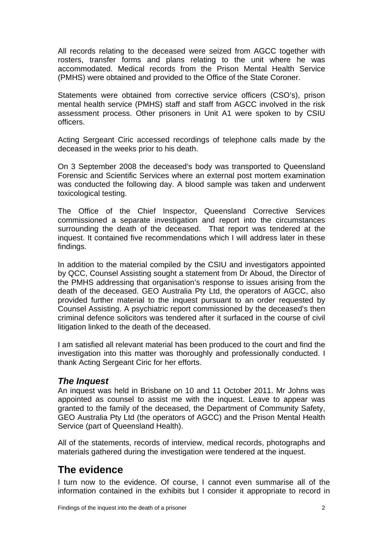<span id="page-3-0"></span>All records relating to the deceased were seized from AGCC together with rosters, transfer forms and plans relating to the unit where he was accommodated. Medical records from the Prison Mental Health Service (PMHS) were obtained and provided to the Office of the State Coroner.

Statements were obtained from corrective service officers (CSO's), prison mental health service (PMHS) staff and staff from AGCC involved in the risk assessment process. Other prisoners in Unit A1 were spoken to by CSIU officers.

Acting Sergeant Ciric accessed recordings of telephone calls made by the deceased in the weeks prior to his death.

On 3 September 2008 the deceased's body was transported to Queensland Forensic and Scientific Services where an external post mortem examination was conducted the following day. A blood sample was taken and underwent toxicological testing.

The Office of the Chief Inspector, Queensland Corrective Services commissioned a separate investigation and report into the circumstances surrounding the death of the deceased. That report was tendered at the inquest. It contained five recommendations which I will address later in these findings.

In addition to the material compiled by the CSIU and investigators appointed by QCC, Counsel Assisting sought a statement from Dr Aboud, the Director of the PMHS addressing that organisation's response to issues arising from the death of the deceased. GEO Australia Pty Ltd, the operators of AGCC, also provided further material to the inquest pursuant to an order requested by Counsel Assisting. A psychiatric report commissioned by the deceased's then criminal defence solicitors was tendered after it surfaced in the course of civil litigation linked to the death of the deceased.

I am satisfied all relevant material has been produced to the court and find the investigation into this matter was thoroughly and professionally conducted. I thank Acting Sergeant Ciric for her efforts.

## *The Inquest*

An inquest was held in Brisbane on 10 and 11 October 2011. Mr Johns was appointed as counsel to assist me with the inquest. Leave to appear was granted to the family of the deceased, the Department of Community Safety, GEO Australia Pty Ltd (the operators of AGCC) and the Prison Mental Health Service (part of Queensland Health).

All of the statements, records of interview, medical records, photographs and materials gathered during the investigation were tendered at the inquest.

## **The evidence**

I turn now to the evidence. Of course, I cannot even summarise all of the information contained in the exhibits but I consider it appropriate to record in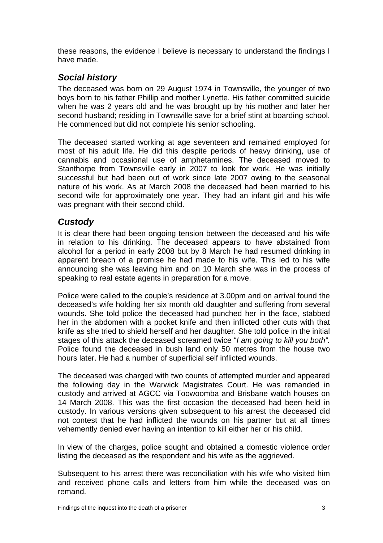<span id="page-4-0"></span>these reasons, the evidence I believe is necessary to understand the findings I have made.

## *Social history*

The deceased was born on 29 August 1974 in Townsville, the younger of two boys born to his father Phillip and mother Lynette. His father committed suicide when he was 2 years old and he was brought up by his mother and later her second husband; residing in Townsville save for a brief stint at boarding school. He commenced but did not complete his senior schooling.

The deceased started working at age seventeen and remained employed for most of his adult life. He did this despite periods of heavy drinking, use of cannabis and occasional use of amphetamines. The deceased moved to Stanthorpe from Townsville early in 2007 to look for work. He was initially successful but had been out of work since late 2007 owing to the seasonal nature of his work. As at March 2008 the deceased had been married to his second wife for approximately one year. They had an infant girl and his wife was pregnant with their second child.

## *Custody*

It is clear there had been ongoing tension between the deceased and his wife in relation to his drinking. The deceased appears to have abstained from alcohol for a period in early 2008 but by 8 March he had resumed drinking in apparent breach of a promise he had made to his wife. This led to his wife announcing she was leaving him and on 10 March she was in the process of speaking to real estate agents in preparation for a move.

Police were called to the couple's residence at 3.00pm and on arrival found the deceased's wife holding her six month old daughter and suffering from several wounds. She told police the deceased had punched her in the face, stabbed her in the abdomen with a pocket knife and then inflicted other cuts with that knife as she tried to shield herself and her daughter. She told police in the initial stages of this attack the deceased screamed twice "*I am going to kill you both".* Police found the deceased in bush land only 50 metres from the house two hours later. He had a number of superficial self inflicted wounds.

The deceased was charged with two counts of attempted murder and appeared the following day in the Warwick Magistrates Court. He was remanded in custody and arrived at AGCC via Toowoomba and Brisbane watch houses on 14 March 2008. This was the first occasion the deceased had been held in custody. In various versions given subsequent to his arrest the deceased did not contest that he had inflicted the wounds on his partner but at all times vehemently denied ever having an intention to kill either her or his child.

In view of the charges, police sought and obtained a domestic violence order listing the deceased as the respondent and his wife as the aggrieved.

Subsequent to his arrest there was reconciliation with his wife who visited him and received phone calls and letters from him while the deceased was on remand.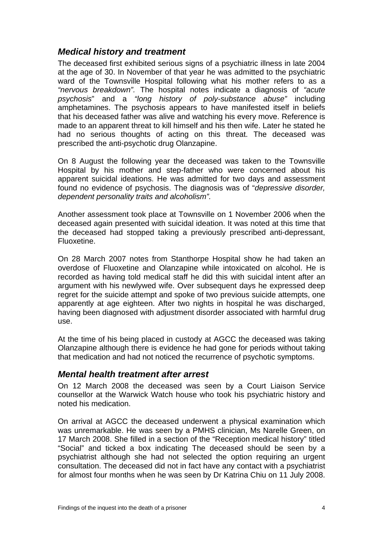## <span id="page-5-0"></span>*Medical history and treatment*

The deceased first exhibited serious signs of a psychiatric illness in late 2004 at the age of 30. In November of that year he was admitted to the psychiatric ward of the Townsville Hospital following what his mother refers to as a *"nervous breakdown".* The hospital notes indicate a diagnosis of *"acute psychosis*" and a *"long history of poly-substance abuse"* including amphetamines. The psychosis appears to have manifested itself in beliefs that his deceased father was alive and watching his every move. Reference is made to an apparent threat to kill himself and his then wife. Later he stated he had no serious thoughts of acting on this threat. The deceased was prescribed the anti-psychotic drug Olanzapine.

On 8 August the following year the deceased was taken to the Townsville Hospital by his mother and step-father who were concerned about his apparent suicidal ideations. He was admitted for two days and assessment found no evidence of psychosis. The diagnosis was of "*depressive disorder, dependent personality traits and alcoholism".* 

Another assessment took place at Townsville on 1 November 2006 when the deceased again presented with suicidal ideation. It was noted at this time that the deceased had stopped taking a previously prescribed anti-depressant, Fluoxetine.

On 28 March 2007 notes from Stanthorpe Hospital show he had taken an overdose of Fluoxetine and Olanzapine while intoxicated on alcohol. He is recorded as having told medical staff he did this with suicidal intent after an argument with his newlywed wife. Over subsequent days he expressed deep regret for the suicide attempt and spoke of two previous suicide attempts, one apparently at age eighteen. After two nights in hospital he was discharged, having been diagnosed with adjustment disorder associated with harmful drug use.

At the time of his being placed in custody at AGCC the deceased was taking Olanzapine although there is evidence he had gone for periods without taking that medication and had not noticed the recurrence of psychotic symptoms.

### *Mental health treatment after arrest*

On 12 March 2008 the deceased was seen by a Court Liaison Service counsellor at the Warwick Watch house who took his psychiatric history and noted his medication.

On arrival at AGCC the deceased underwent a physical examination which was unremarkable. He was seen by a PMHS clinician, Ms Narelle Green, on 17 March 2008. She filled in a section of the "Reception medical history" titled "Social" and ticked a box indicating The deceased should be seen by a psychiatrist although she had not selected the option requiring an urgent consultation. The deceased did not in fact have any contact with a psychiatrist for almost four months when he was seen by Dr Katrina Chiu on 11 July 2008.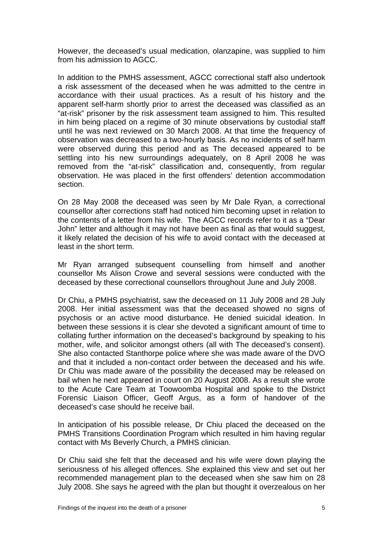However, the deceased's usual medication, olanzapine, was supplied to him from his admission to AGCC.

In addition to the PMHS assessment, AGCC correctional staff also undertook a risk assessment of the deceased when he was admitted to the centre in accordance with their usual practices. As a result of his history and the apparent self-harm shortly prior to arrest the deceased was classified as an "at-risk" prisoner by the risk assessment team assigned to him. This resulted in him being placed on a regime of 30 minute observations by custodial staff until he was next reviewed on 30 March 2008. At that time the frequency of observation was decreased to a two-hourly basis. As no incidents of self harm were observed during this period and as The deceased appeared to be settling into his new surroundings adequately, on 8 April 2008 he was removed from the "at-risk" classification and, consequently, from regular observation. He was placed in the first offenders' detention accommodation section.

On 28 May 2008 the deceased was seen by Mr Dale Ryan, a correctional counsellor after corrections staff had noticed him becoming upset in relation to the contents of a letter from his wife. The AGCC records refer to it as a "Dear John" letter and although it may not have been as final as that would suggest, it likely related the decision of his wife to avoid contact with the deceased at least in the short term.

Mr Ryan arranged subsequent counselling from himself and another counsellor Ms Alison Crowe and several sessions were conducted with the deceased by these correctional counsellors throughout June and July 2008.

Dr Chiu, a PMHS psychiatrist, saw the deceased on 11 July 2008 and 28 July 2008. Her initial assessment was that the deceased showed no signs of psychosis or an active mood disturbance. He denied suicidal ideation. In between these sessions it is clear she devoted a significant amount of time to collating further information on the deceased's background by speaking to his mother, wife, and solicitor amongst others (all with The deceased's consent). She also contacted Stanthorpe police where she was made aware of the DVO and that it included a non-contact order between the deceased and his wife. Dr Chiu was made aware of the possibility the deceased may be released on bail when he next appeared in court on 20 August 2008. As a result she wrote to the Acute Care Team at Toowoomba Hospital and spoke to the District Forensic Liaison Officer, Geoff Argus, as a form of handover of the deceased's case should he receive bail.

In anticipation of his possible release, Dr Chiu placed the deceased on the PMHS Transitions Coordination Program which resulted in him having regular contact with Ms Beverly Church, a PMHS clinician.

Dr Chiu said she felt that the deceased and his wife were down playing the seriousness of his alleged offences. She explained this view and set out her recommended management plan to the deceased when she saw him on 28 July 2008. She says he agreed with the plan but thought it overzealous on her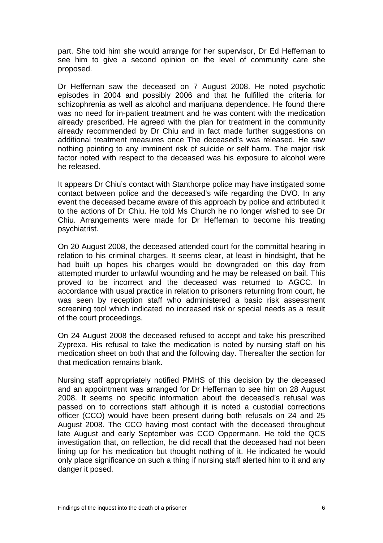part. She told him she would arrange for her supervisor, Dr Ed Heffernan to see him to give a second opinion on the level of community care she proposed.

Dr Heffernan saw the deceased on 7 August 2008. He noted psychotic episodes in 2004 and possibly 2006 and that he fulfilled the criteria for schizophrenia as well as alcohol and marijuana dependence. He found there was no need for in-patient treatment and he was content with the medication already prescribed. He agreed with the plan for treatment in the community already recommended by Dr Chiu and in fact made further suggestions on additional treatment measures once The deceased's was released. He saw nothing pointing to any imminent risk of suicide or self harm. The major risk factor noted with respect to the deceased was his exposure to alcohol were he released.

It appears Dr Chiu's contact with Stanthorpe police may have instigated some contact between police and the deceased's wife regarding the DVO. In any event the deceased became aware of this approach by police and attributed it to the actions of Dr Chiu. He told Ms Church he no longer wished to see Dr Chiu. Arrangements were made for Dr Heffernan to become his treating psychiatrist.

On 20 August 2008, the deceased attended court for the committal hearing in relation to his criminal charges. It seems clear, at least in hindsight, that he had built up hopes his charges would be downgraded on this day from attempted murder to unlawful wounding and he may be released on bail. This proved to be incorrect and the deceased was returned to AGCC. In accordance with usual practice in relation to prisoners returning from court, he was seen by reception staff who administered a basic risk assessment screening tool which indicated no increased risk or special needs as a result of the court proceedings.

On 24 August 2008 the deceased refused to accept and take his prescribed Zyprexa. His refusal to take the medication is noted by nursing staff on his medication sheet on both that and the following day. Thereafter the section for that medication remains blank.

Nursing staff appropriately notified PMHS of this decision by the deceased and an appointment was arranged for Dr Heffernan to see him on 28 August 2008. It seems no specific information about the deceased's refusal was passed on to corrections staff although it is noted a custodial corrections officer (CCO) would have been present during both refusals on 24 and 25 August 2008. The CCO having most contact with the deceased throughout late August and early September was CCO Oppermann. He told the QCS investigation that, on reflection, he did recall that the deceased had not been lining up for his medication but thought nothing of it. He indicated he would only place significance on such a thing if nursing staff alerted him to it and any danger it posed.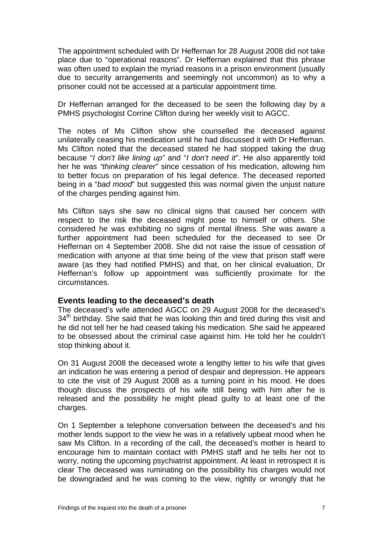<span id="page-8-0"></span>The appointment scheduled with Dr Heffernan for 28 August 2008 did not take place due to "operational reasons". Dr Heffernan explained that this phrase was often used to explain the myriad reasons in a prison environment (usually due to security arrangements and seemingly not uncommon) as to why a prisoner could not be accessed at a particular appointment time.

Dr Heffernan arranged for the deceased to be seen the following day by a PMHS psychologist Corrine Clifton during her weekly visit to AGCC.

The notes of Ms Clifton show she counselled the deceased against unilaterally ceasing his medication until he had discussed it with Dr Heffernan. Ms Clifton noted that the deceased stated he had stopped taking the drug because "*I don't like lining up"* and "*I don't need it"*. He also apparently told her he was *"thinking clearer*" since cessation of his medication, allowing him to better focus on preparation of his legal defence. The deceased reported being in a "*bad mood*" but suggested this was normal given the unjust nature of the charges pending against him.

Ms Clifton says she saw no clinical signs that caused her concern with respect to the risk the deceased might pose to himself or others. She considered he was exhibiting no signs of mental illness. She was aware a further appointment had been scheduled for the deceased to see Dr Heffernan on 4 September 2008. She did not raise the issue of cessation of medication with anyone at that time being of the view that prison staff were aware (as they had notified PMHS) and that, on her clinical evaluation, Dr Heffernan's follow up appointment was sufficiently proximate for the circumstances.

#### **Events leading to the deceased's death**

The deceased's wife attended AGCC on 29 August 2008 for the deceased's 34<sup>th</sup> birthday. She said that he was looking thin and tired during this visit and he did not tell her he had ceased taking his medication. She said he appeared to be obsessed about the criminal case against him. He told her he couldn't stop thinking about it.

On 31 August 2008 the deceased wrote a lengthy letter to his wife that gives an indication he was entering a period of despair and depression. He appears to cite the visit of 29 August 2008 as a turning point in his mood. He does though discuss the prospects of his wife still being with him after he is released and the possibility he might plead guilty to at least one of the charges.

On 1 September a telephone conversation between the deceased's and his mother lends support to the view he was in a relatively upbeat mood when he saw Ms Clifton. In a recording of the call, the deceased's mother is heard to encourage him to maintain contact with PMHS staff and he tells her not to worry, noting the upcoming psychiatrist appointment. At least in retrospect it is clear The deceased was ruminating on the possibility his charges would not be downgraded and he was coming to the view, rightly or wrongly that he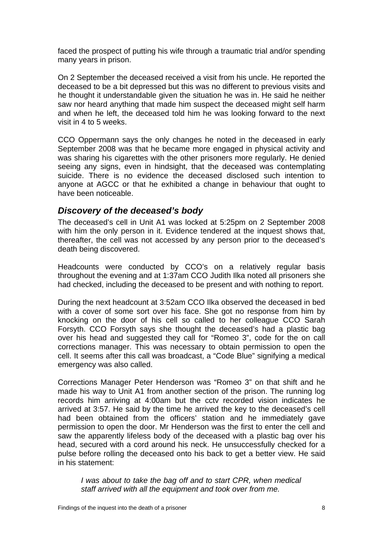<span id="page-9-0"></span>faced the prospect of putting his wife through a traumatic trial and/or spending many years in prison.

On 2 September the deceased received a visit from his uncle. He reported the deceased to be a bit depressed but this was no different to previous visits and he thought it understandable given the situation he was in. He said he neither saw nor heard anything that made him suspect the deceased might self harm and when he left, the deceased told him he was looking forward to the next visit in 4 to 5 weeks.

CCO Oppermann says the only changes he noted in the deceased in early September 2008 was that he became more engaged in physical activity and was sharing his cigarettes with the other prisoners more regularly. He denied seeing any signs, even in hindsight, that the deceased was contemplating suicide. There is no evidence the deceased disclosed such intention to anyone at AGCC or that he exhibited a change in behaviour that ought to have been noticeable.

### *Discovery of the deceased's body*

The deceased's cell in Unit A1 was locked at 5:25pm on 2 September 2008 with him the only person in it. Evidence tendered at the inquest shows that, thereafter, the cell was not accessed by any person prior to the deceased's death being discovered.

Headcounts were conducted by CCO's on a relatively regular basis throughout the evening and at 1:37am CCO Judith Ilka noted all prisoners she had checked, including the deceased to be present and with nothing to report.

During the next headcount at 3:52am CCO Ilka observed the deceased in bed with a cover of some sort over his face. She got no response from him by knocking on the door of his cell so called to her colleague CCO Sarah Forsyth. CCO Forsyth says she thought the deceased's had a plastic bag over his head and suggested they call for "Romeo 3", code for the on call corrections manager. This was necessary to obtain permission to open the cell. It seems after this call was broadcast, a "Code Blue" signifying a medical emergency was also called.

Corrections Manager Peter Henderson was "Romeo 3" on that shift and he made his way to Unit A1 from another section of the prison. The running log records him arriving at 4:00am but the cctv recorded vision indicates he arrived at 3:57. He said by the time he arrived the key to the deceased's cell had been obtained from the officers' station and he immediately gave permission to open the door. Mr Henderson was the first to enter the cell and saw the apparently lifeless body of the deceased with a plastic bag over his head, secured with a cord around his neck. He unsuccessfully checked for a pulse before rolling the deceased onto his back to get a better view. He said in his statement:

*I was about to take the bag off and to start CPR, when medical staff arrived with all the equipment and took over from me.*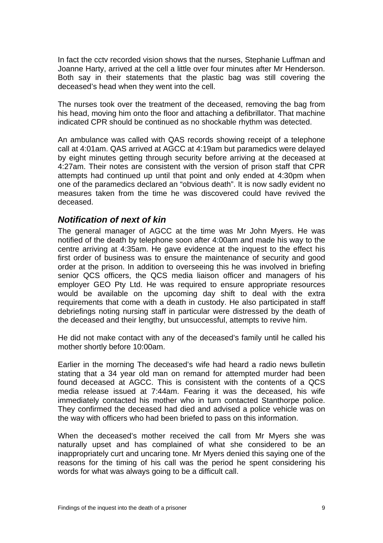<span id="page-10-0"></span>In fact the cctv recorded vision shows that the nurses, Stephanie Luffman and Joanne Harty, arrived at the cell a little over four minutes after Mr Henderson. Both say in their statements that the plastic bag was still covering the deceased's head when they went into the cell.

The nurses took over the treatment of the deceased, removing the bag from his head, moving him onto the floor and attaching a defibrillator. That machine indicated CPR should be continued as no shockable rhythm was detected.

An ambulance was called with QAS records showing receipt of a telephone call at 4:01am. QAS arrived at AGCC at 4:19am but paramedics were delayed by eight minutes getting through security before arriving at the deceased at 4:27am. Their notes are consistent with the version of prison staff that CPR attempts had continued up until that point and only ended at 4:30pm when one of the paramedics declared an "obvious death". It is now sadly evident no measures taken from the time he was discovered could have revived the deceased.

#### *Notification of next of kin*

The general manager of AGCC at the time was Mr John Myers. He was notified of the death by telephone soon after 4:00am and made his way to the centre arriving at 4:35am. He gave evidence at the inquest to the effect his first order of business was to ensure the maintenance of security and good order at the prison. In addition to overseeing this he was involved in briefing senior QCS officers, the QCS media liaison officer and managers of his employer GEO Pty Ltd. He was required to ensure appropriate resources would be available on the upcoming day shift to deal with the extra requirements that come with a death in custody. He also participated in staff debriefings noting nursing staff in particular were distressed by the death of the deceased and their lengthy, but unsuccessful, attempts to revive him.

He did not make contact with any of the deceased's family until he called his mother shortly before 10:00am.

Earlier in the morning The deceased's wife had heard a radio news bulletin stating that a 34 year old man on remand for attempted murder had been found deceased at AGCC. This is consistent with the contents of a QCS media release issued at 7:44am. Fearing it was the deceased, his wife immediately contacted his mother who in turn contacted Stanthorpe police. They confirmed the deceased had died and advised a police vehicle was on the way with officers who had been briefed to pass on this information.

When the deceased's mother received the call from Mr Myers she was naturally upset and has complained of what she considered to be an inappropriately curt and uncaring tone. Mr Myers denied this saying one of the reasons for the timing of his call was the period he spent considering his words for what was always going to be a difficult call.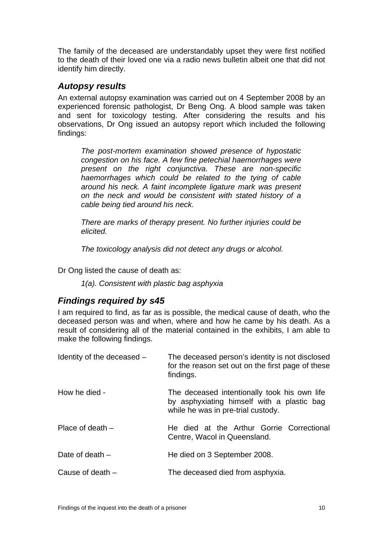<span id="page-11-0"></span>The family of the deceased are understandably upset they were first notified to the death of their loved one via a radio news bulletin albeit one that did not identify him directly.

## *Autopsy results*

An external autopsy examination was carried out on 4 September 2008 by an experienced forensic pathologist, Dr Beng Ong. A blood sample was taken and sent for toxicology testing. After considering the results and his observations, Dr Ong issued an autopsy report which included the following findings:

*The post-mortem examination showed presence of hypostatic congestion on his face. A few fine petechial haemorrhages were present on the right conjunctiva. These are non-specific haemorrhages which could be related to the tying of cable around his neck. A faint incomplete ligature mark was present on the neck and would be consistent with stated history of a cable being tied around his neck.* 

*There are marks of therapy present. No further injuries could be elicited.* 

 *The toxicology analysis did not detect any drugs or alcohol.*

Dr Ong listed the cause of death as:

*1(a). Consistent with plastic bag asphyxia* 

## *Findings required by s45*

I am required to find, as far as is possible, the medical cause of death, who the deceased person was and when, where and how he came by his death. As a result of considering all of the material contained in the exhibits, I am able to make the following findings.

| Identity of the deceased - | The deceased person's identity is not disclosed<br>for the reason set out on the first page of these<br>findings.                |
|----------------------------|----------------------------------------------------------------------------------------------------------------------------------|
| How he died -              | The deceased intentionally took his own life<br>by asphyxiating himself with a plastic bag<br>while he was in pre-trial custody. |
| Place of death $-$         | He died at the Arthur Gorrie Correctional<br>Centre, Wacol in Queensland.                                                        |
| Date of death $-$          | He died on 3 September 2008.                                                                                                     |
| Cause of death $-$         | The deceased died from asphyxia.                                                                                                 |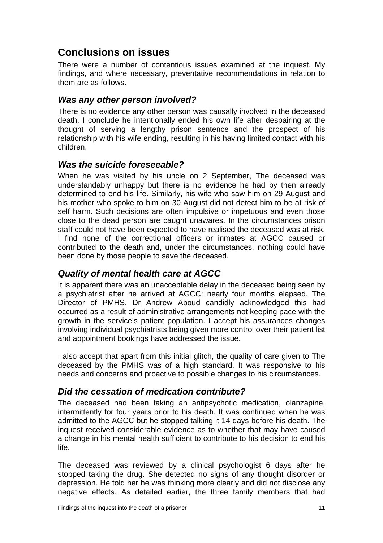## <span id="page-12-0"></span>**Conclusions on issues**

There were a number of contentious issues examined at the inquest. My findings, and where necessary, preventative recommendations in relation to them are as follows.

## *Was any other person involved?*

There is no evidence any other person was causally involved in the deceased death. I conclude he intentionally ended his own life after despairing at the thought of serving a lengthy prison sentence and the prospect of his relationship with his wife ending, resulting in his having limited contact with his children.

## *Was the suicide foreseeable?*

When he was visited by his uncle on 2 September, The deceased was understandably unhappy but there is no evidence he had by then already determined to end his life. Similarly, his wife who saw him on 29 August and his mother who spoke to him on 30 August did not detect him to be at risk of self harm. Such decisions are often impulsive or impetuous and even those close to the dead person are caught unawares. In the circumstances prison staff could not have been expected to have realised the deceased was at risk. I find none of the correctional officers or inmates at AGCC caused or contributed to the death and, under the circumstances, nothing could have been done by those people to save the deceased.

## *Quality of mental health care at AGCC*

It is apparent there was an unacceptable delay in the deceased being seen by a psychiatrist after he arrived at AGCC: nearly four months elapsed. The Director of PMHS, Dr Andrew Aboud candidly acknowledged this had occurred as a result of administrative arrangements not keeping pace with the growth in the service's patient population. I accept his assurances changes involving individual psychiatrists being given more control over their patient list and appointment bookings have addressed the issue.

I also accept that apart from this initial glitch, the quality of care given to The deceased by the PMHS was of a high standard. It was responsive to his needs and concerns and proactive to possible changes to his circumstances.

## *Did the cessation of medication contribute?*

The deceased had been taking an antipsychotic medication, olanzapine, intermittently for four years prior to his death. It was continued when he was admitted to the AGCC but he stopped talking it 14 days before his death. The inquest received considerable evidence as to whether that may have caused a change in his mental health sufficient to contribute to his decision to end his life.

The deceased was reviewed by a clinical psychologist 6 days after he stopped taking the drug. She detected no signs of any thought disorder or depression. He told her he was thinking more clearly and did not disclose any negative effects. As detailed earlier, the three family members that had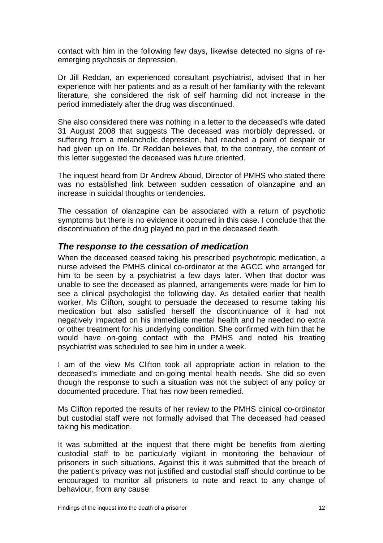<span id="page-13-0"></span>contact with him in the following few days, likewise detected no signs of reemerging psychosis or depression.

Dr Jill Reddan, an experienced consultant psychiatrist, advised that in her experience with her patients and as a result of her familiarity with the relevant literature, she considered the risk of self harming did not increase in the period immediately after the drug was discontinued.

She also considered there was nothing in a letter to the deceased's wife dated 31 August 2008 that suggests The deceased was morbidly depressed, or suffering from a melancholic depression, had reached a point of despair or had given up on life. Dr Reddan believes that, to the contrary, the content of this letter suggested the deceased was future oriented.

The inquest heard from Dr Andrew Aboud, Director of PMHS who stated there was no established link between sudden cessation of olanzapine and an increase in suicidal thoughts or tendencies.

The cessation of olanzapine can be associated with a return of psychotic symptoms but there is no evidence it occurred in this case. I conclude that the discontinuation of the drug played no part in the deceased death.

### *The response to the cessation of medication*

When the deceased ceased taking his prescribed psychotropic medication, a nurse advised the PMHS clinical co-ordinator at the AGCC who arranged for him to be seen by a psychiatrist a few days later. When that doctor was unable to see the deceased as planned, arrangements were made for him to see a clinical psychologist the following day. As detailed earlier that health worker, Ms Clifton, sought to persuade the deceased to resume taking his medication but also satisfied herself the discontinuance of it had not negatively impacted on his immediate mental health and he needed no extra or other treatment for his underlying condition. She confirmed with him that he would have on-going contact with the PMHS and noted his treating psychiatrist was scheduled to see him in under a week.

I am of the view Ms Clifton took all appropriate action in relation to the deceased's immediate and on-going mental health needs. She did so even though the response to such a situation was not the subject of any policy or documented procedure. That has now been remedied.

Ms Clifton reported the results of her review to the PMHS clinical co-ordinator but custodial staff were not formally advised that The deceased had ceased taking his medication.

It was submitted at the inquest that there might be benefits from alerting custodial staff to be particularly vigilant in monitoring the behaviour of prisoners in such situations. Against this it was submitted that the breach of the patient's privacy was not justified and custodial staff should continue to be encouraged to monitor all prisoners to note and react to any change of behaviour, from any cause.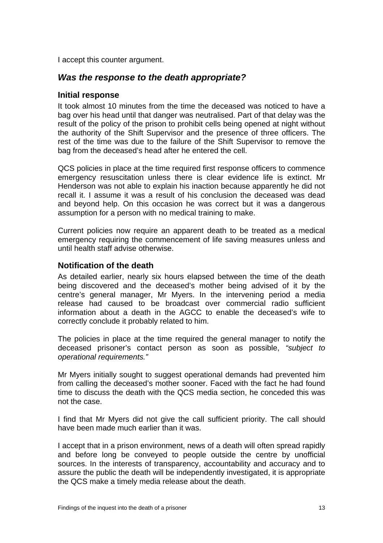<span id="page-14-0"></span>I accept this counter argument.

## *Was the response to the death appropriate?*

#### **Initial response**

It took almost 10 minutes from the time the deceased was noticed to have a bag over his head until that danger was neutralised. Part of that delay was the result of the policy of the prison to prohibit cells being opened at night without the authority of the Shift Supervisor and the presence of three officers. The rest of the time was due to the failure of the Shift Supervisor to remove the bag from the deceased's head after he entered the cell.

QCS policies in place at the time required first response officers to commence emergency resuscitation unless there is clear evidence life is extinct. Mr Henderson was not able to explain his inaction because apparently he did not recall it. I assume it was a result of his conclusion the deceased was dead and beyond help. On this occasion he was correct but it was a dangerous assumption for a person with no medical training to make.

Current policies now require an apparent death to be treated as a medical emergency requiring the commencement of life saving measures unless and until health staff advise otherwise.

#### **Notification of the death**

As detailed earlier, nearly six hours elapsed between the time of the death being discovered and the deceased's mother being advised of it by the centre's general manager, Mr Myers. In the intervening period a media release had caused to be broadcast over commercial radio sufficient information about a death in the AGCC to enable the deceased's wife to correctly conclude it probably related to him.

The policies in place at the time required the general manager to notify the deceased prisoner's contact person as soon as possible, *"subject to operational requirements."* 

Mr Myers initially sought to suggest operational demands had prevented him from calling the deceased's mother sooner. Faced with the fact he had found time to discuss the death with the QCS media section, he conceded this was not the case.

I find that Mr Myers did not give the call sufficient priority. The call should have been made much earlier than it was.

I accept that in a prison environment, news of a death will often spread rapidly and before long be conveyed to people outside the centre by unofficial sources. In the interests of transparency, accountability and accuracy and to assure the public the death will be independently investigated, it is appropriate the QCS make a timely media release about the death.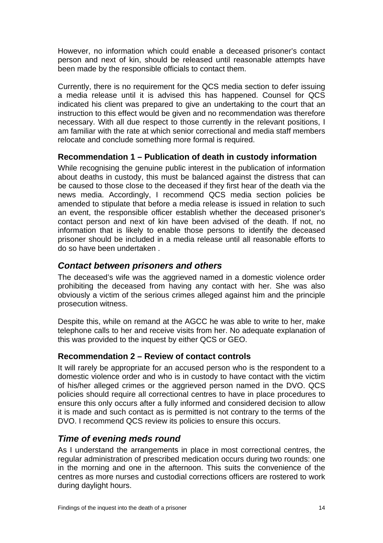<span id="page-15-0"></span>However, no information which could enable a deceased prisoner's contact person and next of kin, should be released until reasonable attempts have been made by the responsible officials to contact them.

Currently, there is no requirement for the QCS media section to defer issuing a media release until it is advised this has happened. Counsel for QCS indicated his client was prepared to give an undertaking to the court that an instruction to this effect would be given and no recommendation was therefore necessary. With all due respect to those currently in the relevant positions, I am familiar with the rate at which senior correctional and media staff members relocate and conclude something more formal is required.

## **Recommendation 1 – Publication of death in custody information**

While recognising the genuine public interest in the publication of information about deaths in custody, this must be balanced against the distress that can be caused to those close to the deceased if they first hear of the death via the news media. Accordingly, I recommend QCS media section policies be amended to stipulate that before a media release is issued in relation to such an event, the responsible officer establish whether the deceased prisoner's contact person and next of kin have been advised of the death. If not, no information that is likely to enable those persons to identify the deceased prisoner should be included in a media release until all reasonable efforts to do so have been undertaken .

## *Contact between prisoners and others*

The deceased's wife was the aggrieved named in a domestic violence order prohibiting the deceased from having any contact with her. She was also obviously a victim of the serious crimes alleged against him and the principle prosecution witness.

Despite this, while on remand at the AGCC he was able to write to her, make telephone calls to her and receive visits from her. No adequate explanation of this was provided to the inquest by either QCS or GEO.

### **Recommendation 2 – Review of contact controls**

It will rarely be appropriate for an accused person who is the respondent to a domestic violence order and who is in custody to have contact with the victim of his/her alleged crimes or the aggrieved person named in the DVO. QCS policies should require all correctional centres to have in place procedures to ensure this only occurs after a fully informed and considered decision to allow it is made and such contact as is permitted is not contrary to the terms of the DVO. I recommend QCS review its policies to ensure this occurs.

## *Time of evening meds round*

As I understand the arrangements in place in most correctional centres, the regular administration of prescribed medication occurs during two rounds: one in the morning and one in the afternoon. This suits the convenience of the centres as more nurses and custodial corrections officers are rostered to work during daylight hours.